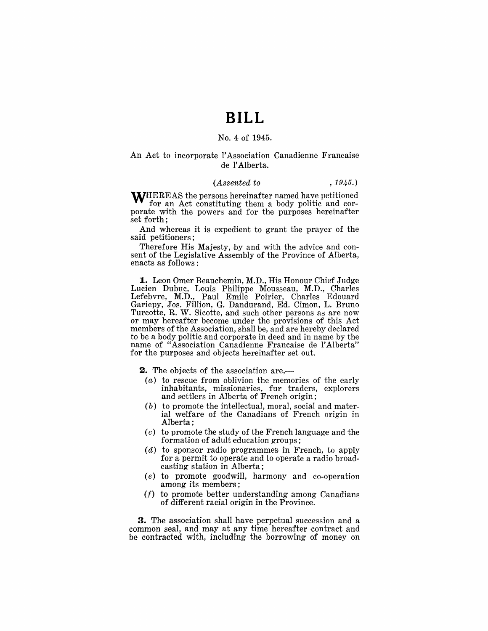## **BILL**

#### No. 4 of 1945.

#### An Act to incorporate l'Association Canadienne Francaise de l' Alberta.

#### *(Assented to* , 1945.)

**WHEREAS** the persons hereinafter named have petitioned for an Act constituting them a body politic and corporate with the powers and for the purposes hereinafter set forth;

And whereas it is expedient to grant the prayer of the said petitioners;

Therefore His Majesty, by and with the advice and consent of the Legislative Assembly of the Province of Alberta, enacts as follows:

1. Leon Omer Beauchemin, M.D., His Honour Chief Judge Lucien Dubuc, Louis Philippe Mousseau, M.D., Charles Lefebvre, M.D., Paul Emile Poirier, Charles Edouard Gariepy, Jos. Fillion, G. Dandurand, Ed. Cimon, L. Bruno Turcotte, R. W. Sicotte, and such other persons as are now or may hereafter become under the provisions of this Act members of the Association, shall be, and are hereby declared to be a body politic and corporate in deed and in name by the name of "Association Canadienne Francaise de l'Alberta" for the purposes and objects hereinafter set out.

**2.** The objects of the association are,

- $(a)$  to rescue from oblivion the memories of the early inhabitants, missionaries, fur traders, explorers and settlers in Alberta of French origin;
- (b) to promote the intellectual, moral, social and material welfare of the Canadians of French origin in Alberta;
- (c) to promote the study of the French language and the formation of adult education groups;
- $(d)$  to sponsor radio programmes in French, to apply for a permit to operate and to operate a radio broadcasting station in Alberta;
- (e) to promote goodwill, harmony and co-operation among its members;
- $(f)$  to promote better understanding among Canadians *'Of* different racial origin in the Province.

**3.** The association shall have perpetual succession and a common seal, and may at any time hereafter contract and be contracted with, including the borrowing of money on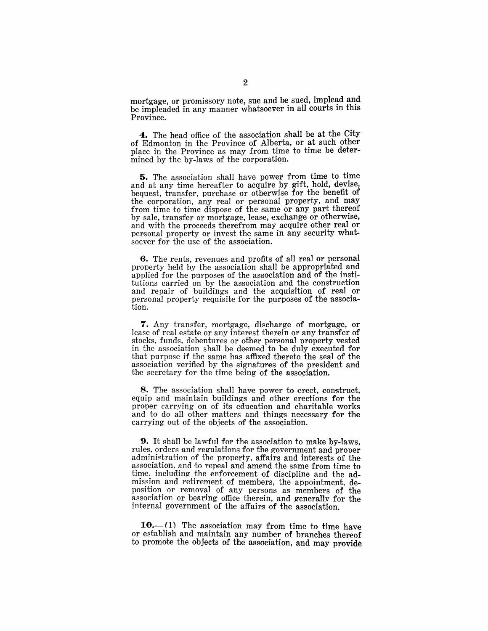mortgage, or promissory note, sue and be sued, implead and be impleaded in any manner whatsoever in all courts in this Province.

4. The head office of the association shall be at the City *Df* Edmonton in the Province of Alberta, or at such other place in the Province as may from time to time be determined by the by-laws of the corporation.

5. The association shall have power from time to time and at any time hereafter to acquire by gift, hold, devise, bequest, transfer, purchase or otherwise for the benefit of the corporation, any real or personal property, and may from time to time dispose of the same or any part thereof by sale, transfer or mortgage, lease, exchange or otherwise, and with the proceeds therefrom may acquire other real or personal property or invest the same in any security whatsoever for the use of the association.

6. The rents, revenues and profits of all real or personal property held by the association shall be appropriated and applied for the purposes of the association and of the institutions carried on by the association and the construction and repair of buildings and the acquisition of real or personal property requisite for the purposes of the associa-<br>tion.  $\frac{1}{2}$  tion.

7. Any transfer, mortgage, discharge of mortgage, or lease of real estate or any interest therein or any transfer of stocks, funds, debentures or other personal property vested in the association shall be deemed to be duly executed for that purpose if the same has affixed thereto the seal of the association verified by the signatures of the president and the secretary for the time being of the association.

8. The association shall have power to erect, construct, equip and maintain buildings and other erections for the proper carrying on of its education and charitable works and to do all other matters and things necessary for the carrying out of the objects of the association.

**9.** It shall be lawful for the association to make by-laws, rules, orders and regulations for the government and proper administration of the property, affairs and interests of the association. and to repeal and amend the same from time to time. including the enforeement of discipline and the ad mission and retirement of members, the appointment, deposition or removal of any persons as members of the association or bearing office therein, and generally for the internal government of the affairs of the association.

 $10-$ (1) The association may from time to time have or establish and maintain any number of branches thereof to promote the objects of the association, and may provide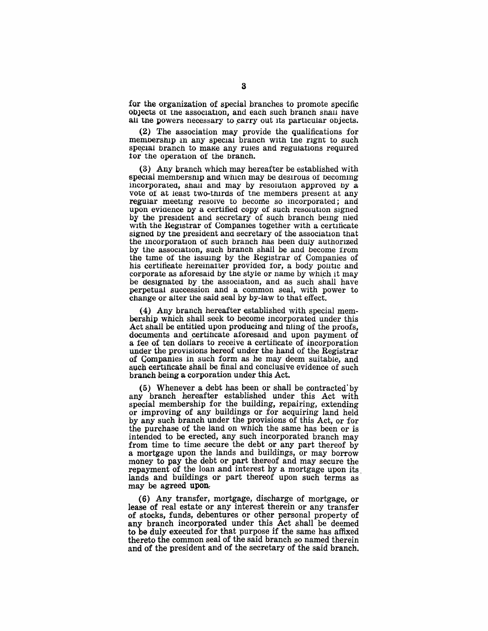for the organization of special branches to promote specific objects of the association, and each such branch shall have all the powers necessary to carry out its particular objects.

(2) The association may provide the qualifications for membership in any special branch with the right to such special branch to make any rules and regulations required tor the operation of the branch.

(3) Any branch which may hereafter be established with special membership and which may be desirous of becoming incorporated, shall and may by resolution approved by a vote of at least two-thirds of the members present at any regular meeting resolve to become so incorporated; and upon evidence by a certified copy of such resolution signed by the president and secretary of such branch being nied with the Registrar of Companies together with a certificate signed by the president and secretary of the association that the incorporation of such branch has been duly authorized by the association, such branch shall be and become from the time of the issuing by the Registrar of Companies of his certificate hereinatter provided for, a body politic and corporate as aforesaid by the style or name by which it may be designated by the association, and as such shall have perpetual succession and a common seal, with power to change or alter the said seal by by-law to that effect.

(4) Any branch hereafter established with special membership which shall seek to become incorporated under this Act shall be entitled upon producing and nling of the proofs, documents and certincate aforesaid and upon payment of a fee of ten dollars to receive a certificate of incorporation under the provisions hereof under the hand of the Registrar of Companies in such form as he may deem suitable, and such certificate shall be final and conclusive evidence of such branch being a corporation under this Act.

 $(5)$  Whenever a debt has been or shall be contracted by any branch hereafter established under this Act with special membership for the building, repairing, extending or improving of any buildings or for acquiring land held by any such branch under the provisions of this Act, or for the purchase of the land on which the same has been or is intended to be erected, any such incorporated branch may from time to time secure the debt or any part thereof by a mortgage upon the lands and buildings, or may borrow money to pay the debt or part thereof and may secure the repayment of the loan and interest by a mortgage upon its. lands and buildings' or part thereof upon such terms as may be agreed upon.

 $(6)$  Any transfer, mortgage, discharge of mortgage, or lease of real estate or any interest therein or any transfer of stocks, funds, debentures or other personal property of any branch incorporated under this Act shall be deemed to be duly executed for that purpose if the same has affixed thereto the common seal of the said branch so named therein and of the president and of the secretary of the said branch.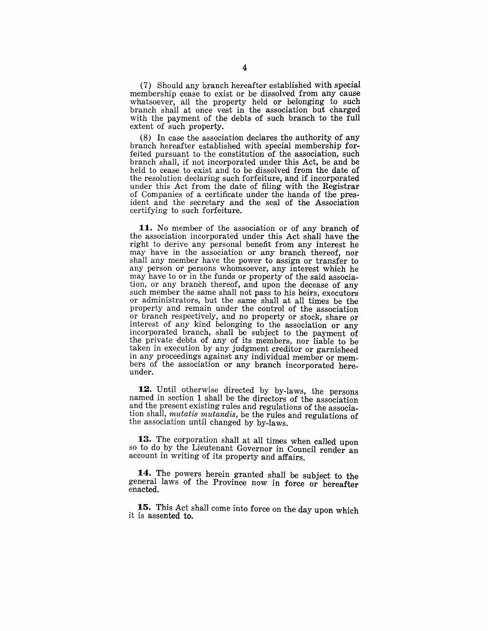(7) Should any branch hereafter established with special membership cease to exist or be dissolved from any cause whatsoever, all the property held or belonging to such branch shall at once vest in the association but charged with the payment of the debts of such branch to the full extent of such property.

 $(8)$  In case the association declares the authority of any branch hereafter established with special membership forfeited pursuant to the constitution of the association, such branch shall, if not incorporated under this Act, be and be held to cease to exist and to be dissolved from the date of the resolution declaring such forfeiture, and if incorporated under this Act from the date of filing with the Registrar of Companies of a certificate under the hands of the president and the secretary and the seal of the Association certifying to such forfeiture.

**11.** No member of the association or of any branch of the association incorporated under this Act shall have the right to derive any personal benefit from any interest he may have in the association or any branch thereof, nor shall any member have the power to assign or transfer to any person or persons whomsoever, any interest which he may have to or in the funds or property of the said association, or any branch thereof, and upon the decease of any such member the same shall not pass to his heirs, executors or administrators, but the same shall at all times be the property and remain under the control of the association or branch respectively, and no property or stock, share or interest of any kind belonging to the association or any incorporated branch, shall be subject to the payment of the private debts of any of its members, nor liable to be taken in execution by any judgment creditor or garnisheed in any proceedings against any individual member or members of the association or any branch incorporated hereunder.

12. Until otherwise directed by by-laws, the persons named in section 1 shall be the directors of the association and the present existing rules and regulations of the association shall, *mutatis mutandis,* be the rules and regulations of the association until changed by by-laws.

13. The corporation shall at all times when called upon so to do by the Lieutenant Governor in Council render an account in writing of its property and affairs.

**14.** The powers herein granted shall be subject to the general laws of the Province now in force or hereafter enacted.

**15.** This Act shall come into force on the day upon which it is assented to.